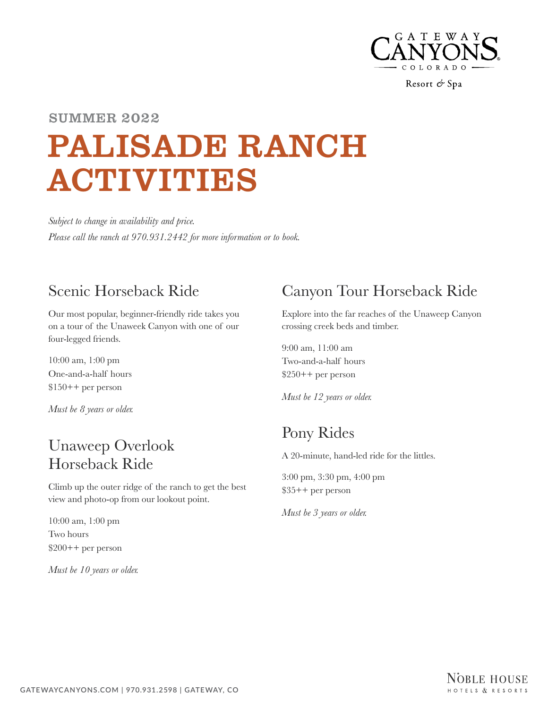

Resort & Spa

# PALISADE RANCH ACTIVITIES SUMMER 2022

*Subject to change in availability and price. Please call the ranch at 970.931.2442 for more information or to book.*

### Scenic Horseback Ride

Our most popular, beginner-friendly ride takes you on a tour of the Unaweek Canyon with one of our four-legged friends.

10:00 am, 1:00 pm One-and-a-half hours \$150++ per person

*Must be 8 years or older.*

#### Unaweep Overlook Horseback Ride

Climb up the outer ridge of the ranch to get the best view and photo-op from our lookout point.

10:00 am, 1:00 pm Two hours \$200++ per person

*Must be 10 years or older.*

## Canyon Tour Horseback Ride

Explore into the far reaches of the Unaweep Canyon crossing creek beds and timber.

9:00 am, 11:00 am Two-and-a-half hours \$250++ per person

*Must be 12 years or older.*

## Pony Rides

A 20-minute, hand-led ride for the littles.

3:00 pm, 3:30 pm, 4:00 pm \$35++ per person

*Must be 3 years or older.*